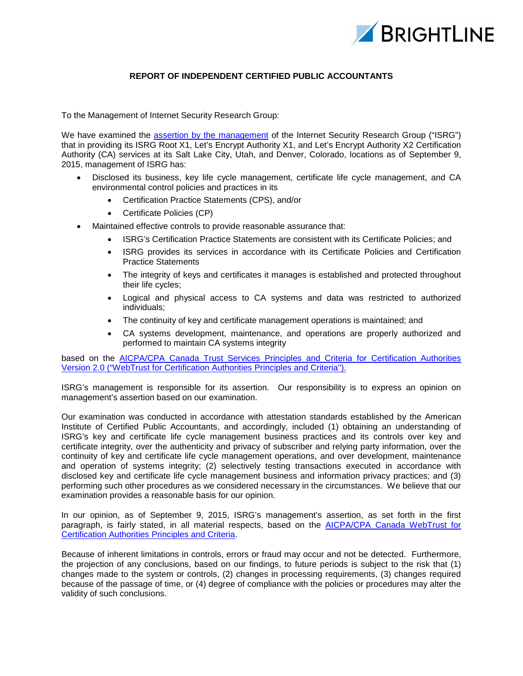

## **REPORT OF INDEPENDENT CERTIFIED PUBLIC ACCOUNTANTS**

To the Management of Internet Security Research Group:

We have examined the assertion by the [management](#page-2-0) of the Internet Security Research Group ("ISRG") that in providing its ISRG Root X1, Let's Encrypt Authority X1, and Let's Encrypt Authority X2 Certification Authority (CA) services at its Salt Lake City, Utah, and Denver, Colorado, locations as of September 9, 2015, management of ISRG has:

- Disclosed its business, key life cycle management, certificate life cycle management, and CA environmental control policies and practices in its
	- Certification Practice Statements (CPS), and/or
	- Certificate Policies (CP)
- Maintained effective controls to provide reasonable assurance that:
	- ISRG's Certification Practice Statements are consistent with its Certificate Policies; and
	- ISRG provides its services in accordance with its Certificate Policies and Certification Practice Statements
	- The integrity of keys and certificates it manages is established and protected throughout their life cycles;
	- Logical and physical access to CA systems and data was restricted to authorized individuals;
	- The continuity of key and certificate management operations is maintained; and
	- CA systems development, maintenance, and operations are properly authorized and performed to maintain CA systems integrity

based on the AICPA/CPA Canada [Trust Services Principles and Criteria for Certification Authorities](http://www.webtrust.org/homepage-documents/item54279.pdf)  [Version 2.0 \("WebTrust for Certification Authorities Principles and Criteria"\).](http://www.webtrust.org/homepage-documents/item54279.pdf)

ISRG's management is responsible for its assertion. Our responsibility is to express an opinion on management's assertion based on our examination.

Our examination was conducted in accordance with attestation standards established by the American Institute of Certified Public Accountants, and accordingly, included (1) obtaining an understanding of ISRG's key and certificate life cycle management business practices and its controls over key and certificate integrity, over the authenticity and privacy of subscriber and relying party information, over the continuity of key and certificate life cycle management operations, and over development, maintenance and operation of systems integrity; (2) selectively testing transactions executed in accordance with disclosed key and certificate life cycle management business and information privacy practices; and (3) performing such other procedures as we considered necessary in the circumstances. We believe that our examination provides a reasonable basis for our opinion.

In our opinion, as of September 9, 2015, ISRG's management's assertion, as set forth in the first paragraph, is fairly stated, in all material respects, based on the [AICPA/CPA Canada](http://www.webtrust.org/homepage-documents/item54279.pdf) WebTrust for [Certification Authorities Principles and Criteria.](http://www.webtrust.org/homepage-documents/item54279.pdf)

Because of inherent limitations in controls, errors or fraud may occur and not be detected. Furthermore, the projection of any conclusions, based on our findings, to future periods is subject to the risk that (1) changes made to the system or controls, (2) changes in processing requirements, (3) changes required because of the passage of time, or (4) degree of compliance with the policies or procedures may alter the validity of such conclusions.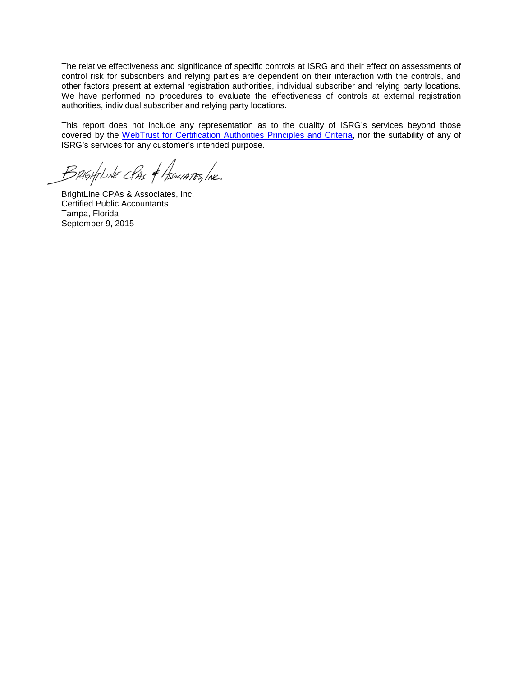The relative effectiveness and significance of specific controls at ISRG and their effect on assessments of control risk for subscribers and relying parties are dependent on their interaction with the controls, and other factors present at external registration authorities, individual subscriber and relying party locations. We have performed no procedures to evaluate the effectiveness of controls at external registration authorities, individual subscriber and relying party locations.

This report does not include any representation as to the quality of ISRG's services beyond those covered by the [WebTrust for Certification Authorities Principles and Criteria,](http://www.webtrust.org/homepage-documents/item54279.pdf) nor the suitability of any of ISRG's services for any customer's intended purpose.

BRIGHTLINE CPAS & ASSOCIATES, INC.

BrightLine CPAs & Associates, Inc. Certified Public Accountants Tampa, Florida September 9, 2015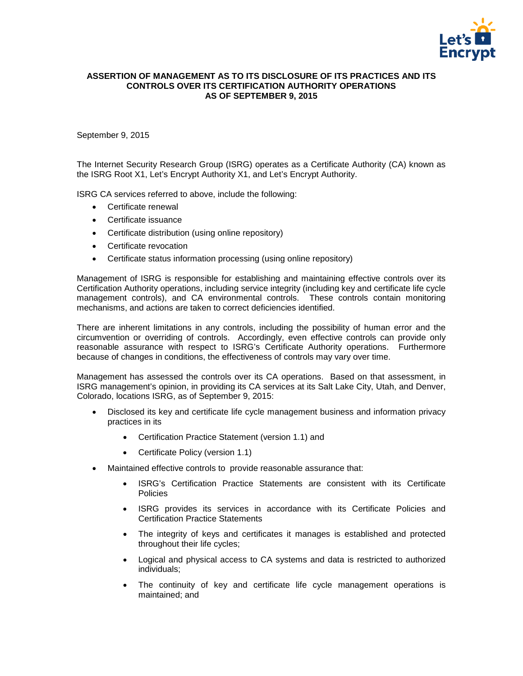

#### <span id="page-2-0"></span>**ASSERTION OF MANAGEMENT AS TO ITS DISCLOSURE OF ITS PRACTICES AND ITS CONTROLS OVER ITS CERTIFICATION AUTHORITY OPERATIONS AS OF SEPTEMBER 9, 2015**

September 9, 2015

The Internet Security Research Group (ISRG) operates as a Certificate Authority (CA) known as the ISRG Root X1, Let's Encrypt Authority X1, and Let's Encrypt Authority.

ISRG CA services referred to above, include the following:

- Certificate renewal
- Certificate issuance
- Certificate distribution (using online repository)
- Certificate revocation
- Certificate status information processing (using online repository)

Management of ISRG is responsible for establishing and maintaining effective controls over its Certification Authority operations, including service integrity (including key and certificate life cycle management controls), and CA environmental controls. These controls contain monitoring mechanisms, and actions are taken to correct deficiencies identified.

There are inherent limitations in any controls, including the possibility of human error and the circumvention or overriding of controls. Accordingly, even effective controls can provide only reasonable assurance with respect to ISRG's Certificate Authority operations. Furthermore because of changes in conditions, the effectiveness of controls may vary over time.

Management has assessed the controls over its CA operations. Based on that assessment, in ISRG management's opinion, in providing its CA services at its Salt Lake City, Utah, and Denver, Colorado, locations ISRG, as of September 9, 2015:

- Disclosed its key and certificate life cycle management business and information privacy practices in its
	- Certification Practice Statement (version 1.1) and
	- Certificate Policy (version 1.1)
- Maintained effective controls to provide reasonable assurance that:
	- ISRG's Certification Practice Statements are consistent with its Certificate **Policies**
	- ISRG provides its services in accordance with its Certificate Policies and Certification Practice Statements
	- The integrity of keys and certificates it manages is established and protected throughout their life cycles;
	- Logical and physical access to CA systems and data is restricted to authorized individuals;
	- The continuity of key and certificate life cycle management operations is maintained; and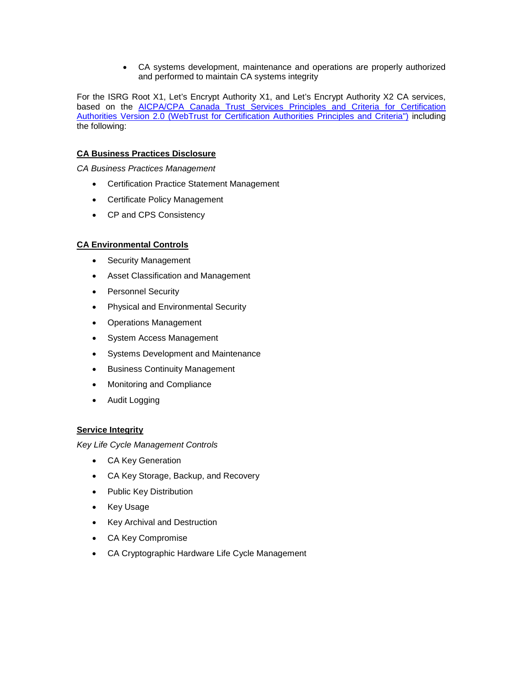• CA systems development, maintenance and operations are properly authorized and performed to maintain CA systems integrity

For the ISRG Root X1, Let's Encrypt Authority X1, and Let's Encrypt Authority X2 CA services, based on the AICPA/CPA Canada [Trust Services Principles and Criteria for Certification](http://www.webtrust.org/homepage-documents/item54279.pdf)  [Authorities Version 2.0 \(WebTrust for Certification Authorities Principles and Criteria"\)](http://www.webtrust.org/homepage-documents/item54279.pdf) including the following:

## **CA Business Practices Disclosure**

*CA Business Practices Management*

- Certification Practice Statement Management
- Certificate Policy Management
- CP and CPS Consistency

# **CA Environmental Controls**

- Security Management
- Asset Classification and Management
- Personnel Security
- Physical and Environmental Security
- Operations Management
- System Access Management
- Systems Development and Maintenance
- Business Continuity Management
- Monitoring and Compliance
- Audit Logging

## **Service Integrity**

*Key Life Cycle Management Controls*

- CA Key Generation
- CA Key Storage, Backup, and Recovery
- Public Key Distribution
- Key Usage
- Key Archival and Destruction
- CA Key Compromise
- CA Cryptographic Hardware Life Cycle Management